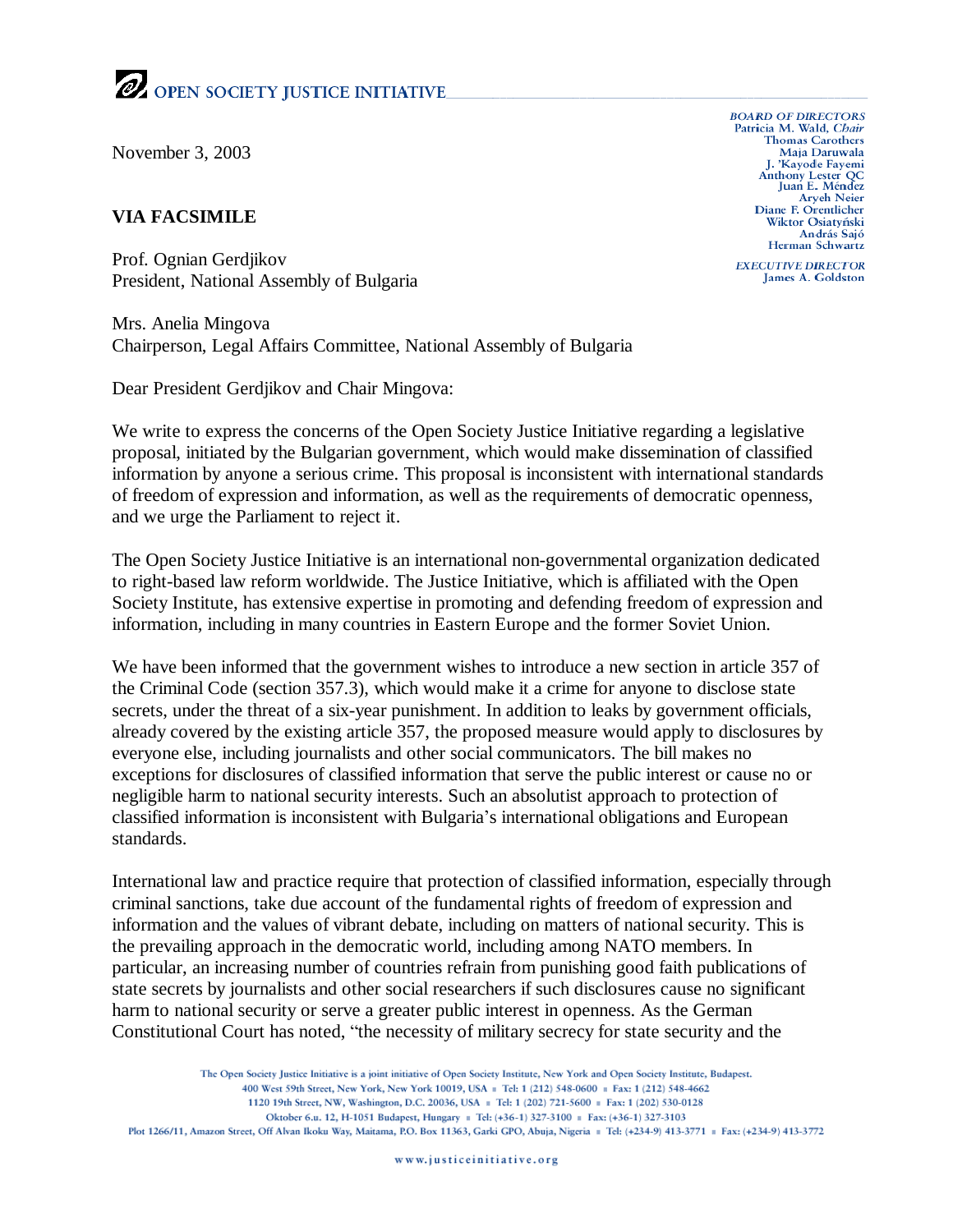## OPEN SOCIETY JUSTICE INITIATIVE

November 3, 2003

## **VIA FACSIMILE**

Prof. Ognian Gerdjikov President, National Assembly of Bulgaria

Mrs. Anelia Mingova Chairperson, Legal Affairs Committee, National Assembly of Bulgaria

Dear President Gerdjikov and Chair Mingova:

We write to express the concerns of the Open Society Justice Initiative regarding a legislative proposal, initiated by the Bulgarian government, which would make dissemination of classified information by anyone a serious crime. This proposal is inconsistent with international standards of freedom of expression and information, as well as the requirements of democratic openness, and we urge the Parliament to reject it.

The Open Society Justice Initiative is an international non-governmental organization dedicated to right-based law reform worldwide. The Justice Initiative, which is affiliated with the Open Society Institute, has extensive expertise in promoting and defending freedom of expression and information, including in many countries in Eastern Europe and the former Soviet Union.

We have been informed that the government wishes to introduce a new section in article 357 of the Criminal Code (section 357.3), which would make it a crime for anyone to disclose state secrets, under the threat of a six-year punishment. In addition to leaks by government officials, already covered by the existing article 357, the proposed measure would apply to disclosures by everyone else, including journalists and other social communicators. The bill makes no exceptions for disclosures of classified information that serve the public interest or cause no or negligible harm to national security interests. Such an absolutist approach to protection of classified information is inconsistent with Bulgaria's international obligations and European standards.

International law and practice require that protection of classified information, especially through criminal sanctions, take due account of the fundamental rights of freedom of expression and information and the values of vibrant debate, including on matters of national security. This is the prevailing approach in the democratic world, including among NATO members. In particular, an increasing number of countries refrain from punishing good faith publications of state secrets by journalists and other social researchers if such disclosures cause no significant harm to national security or serve a greater public interest in openness. As the German Constitutional Court has noted, "the necessity of military secrecy for state security and the

The Open Society Justice Initiative is a joint initiative of Open Society Institute, New York and Open Society Institute, Budapest. 400 West 59th Street, New York, New York 10019, USA = Tel: 1 (212) 548-0600 = Fax: 1 (212) 548-4662 1120 19th Street, NW, Washington, D.C. 20036, USA = Tel: 1 (202) 721-5600 = Fax: 1 (202) 530-0128 Oktober 6.u. 12, H-1051 Budapest, Hungary | Tel: (+36-1) 327-3100 | Fax: (+36-1) 327-3103 Plot 1266/11, Amazon Street, Off Alvan Ikoku Way, Maitama, P.O. Box 11363, Garki GPO, Abuja, Nigeria # Tel: (+234-9) 413-3771 # Fax: (+234-9) 413-3772

**BOARD OF DIRECTORS** Patricia M. Wald, Chair **Thomas Carothers** Maja Daruwala J. 'Kayode Fayemi Anthony Lester QC<br>Juan E. Méndez **Aryeh Neier** Diane F. Orentlicher Wiktor Osiatyński András Sajó Herman Schwartz

**EXECUTIVE DIRECTOR** James A. Goldston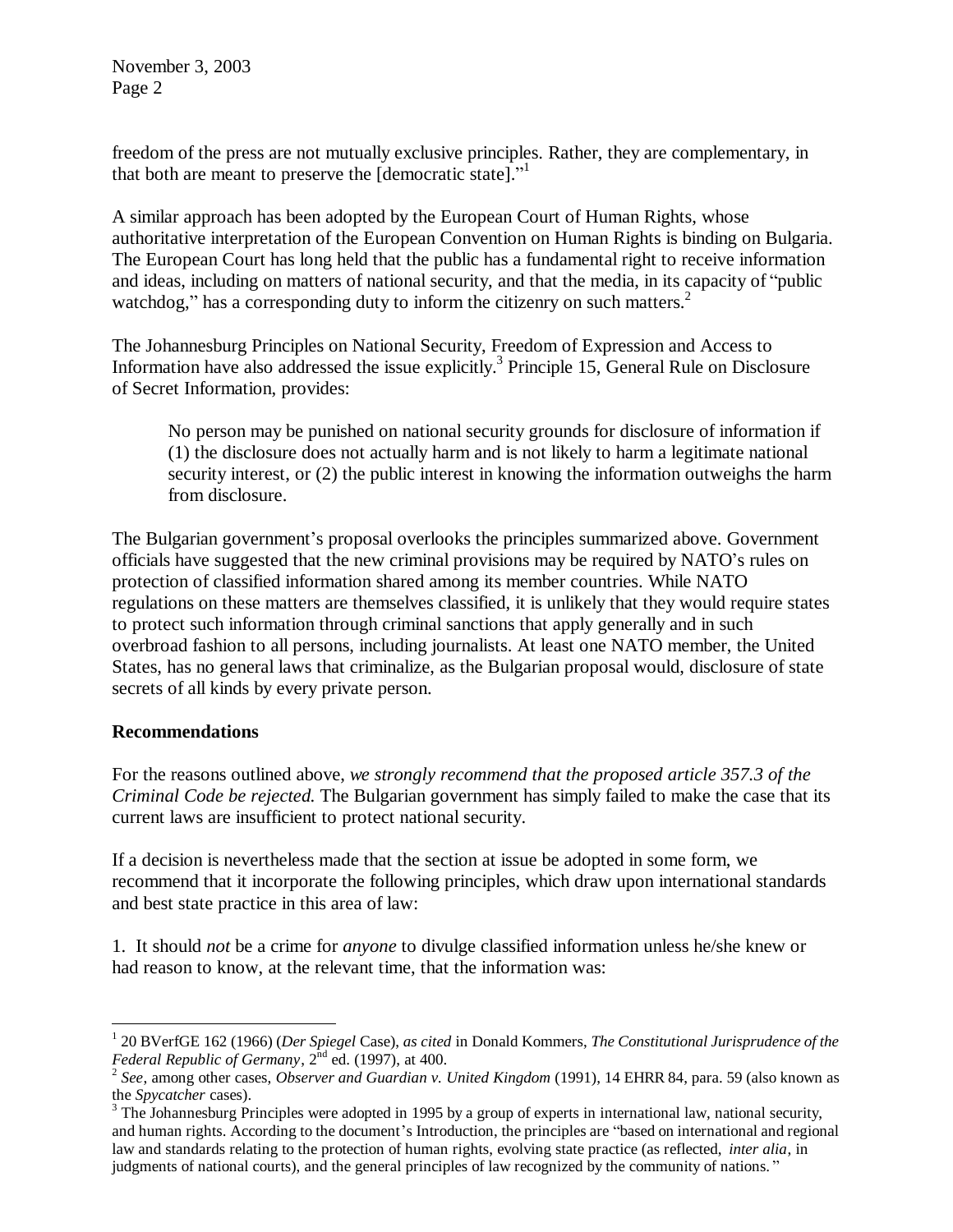November 3, 2003 Page 2

freedom of the press are not mutually exclusive principles. Rather, they are complementary, in that both are meant to preserve the [democratic state]." 1

A similar approach has been adopted by the European Court of Human Rights, whose authoritative interpretation of the European Convention on Human Rights is binding on Bulgaria. The European Court has long held that the public has a fundamental right to receive information and ideas, including on matters of national security, and that the media, in its capacity of "public watchdog," has a corresponding duty to inform the citizenry on such matters.<sup>2</sup>

The Johannesburg Principles on National Security, Freedom of Expression and Access to Information have also addressed the issue explicitly.<sup>3</sup> Principle 15, General Rule on Disclosure of Secret Information, provides:

No person may be punished on national security grounds for disclosure of information if (1) the disclosure does not actually harm and is not likely to harm a legitimate national security interest, or (2) the public interest in knowing the information outweighs the harm from disclosure.

The Bulgarian government's proposal overlooks the principles summarized above. Government officials have suggested that the new criminal provisions may be required by NATO's rules on protection of classified information shared among its member countries. While NATO regulations on these matters are themselves classified, it is unlikely that they would require states to protect such information through criminal sanctions that apply generally and in such overbroad fashion to all persons, including journalists. At least one NATO member, the United States, has no general laws that criminalize, as the Bulgarian proposal would, disclosure of state secrets of all kinds by every private person.

## **Recommendations**

For the reasons outlined above, *we strongly recommend that the proposed article 357.3 of the Criminal Code be rejected*. The Bulgarian government has simply failed to make the case that its current laws are insufficient to protect national security.

If a decision is nevertheless made that the section at issue be adopted in some form, we recommend that it incorporate the following principles, which draw upon international standards and best state practice in this area of law:

1. It should *not* be a crime for *anyone* to divulge classified information unless he/she knew or had reason to know, at the relevant time, that the information was:

 $\overline{a}$ 1 20 BVerfGE 162 (1966) (*Der Spiegel* Case), *as cited* in Donald Kommers, *The Constitutional Jurisprudence of the*  Federal Republic of Germany, 2<sup>nd</sup> ed. (1997), at 400.<br><sup>2</sup> See, among other cases, *Observer and Guardian v. United Kingdom* (1991), 14 EHRR 84, para. 59 (also known as

the *Spycatcher* cases).

 $3$  The Johannesburg Principles were adopted in 1995 by a group of experts in international law, national security, and human rights. According to the document's Introduction, the principles are "based on international and regional law and standards relating to the protection of human rights, evolving state practice (as reflected, *inter alia*, in judgments of national courts), and the general principles of law recognized by the community of nations. "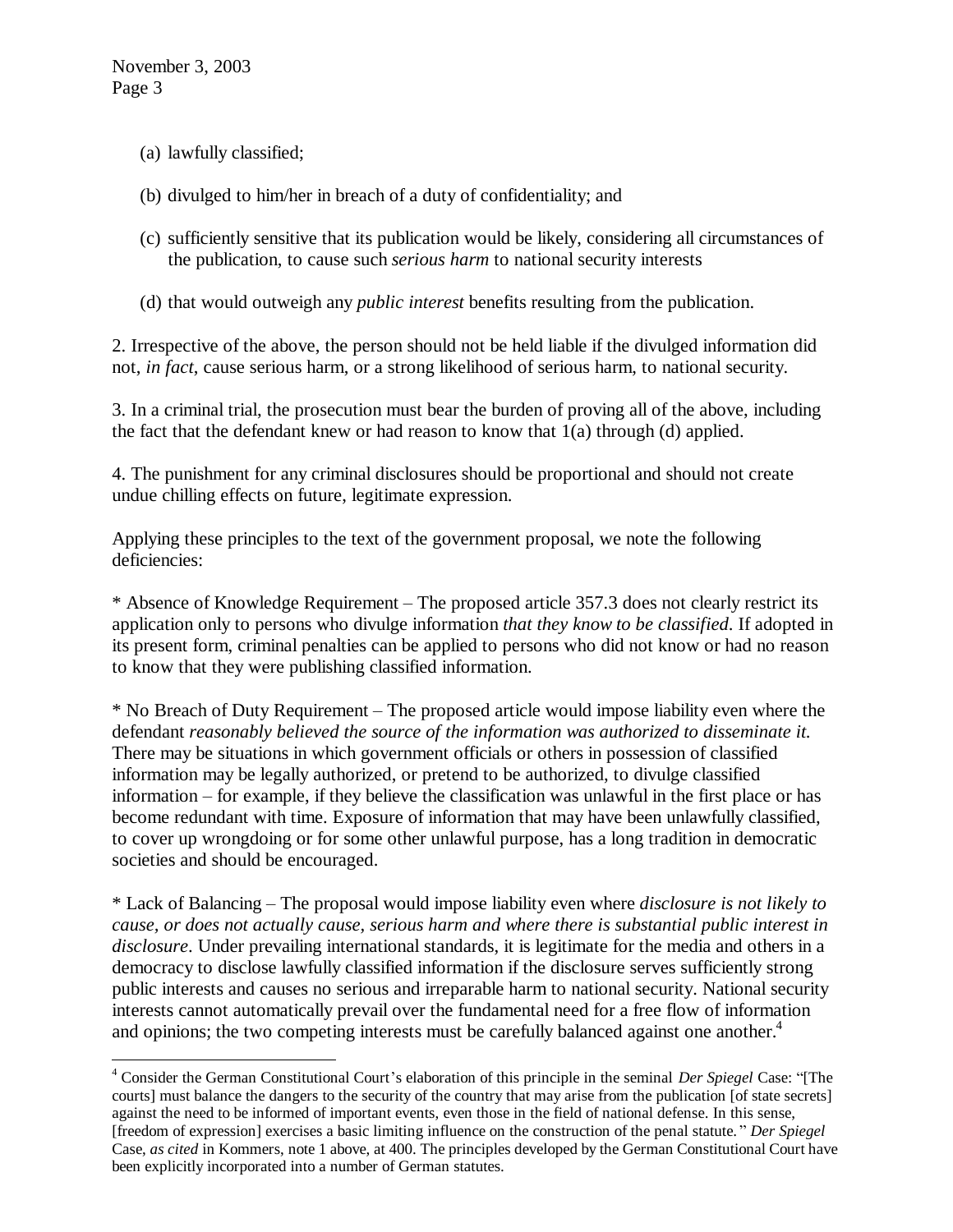$\overline{a}$ 

- (a) lawfully classified;
- (b) divulged to him/her in breach of a duty of confidentiality; and
- (c) sufficiently sensitive that its publication would be likely, considering all circumstances of the publication, to cause such *serious harm* to national security interests
- (d) that would outweigh any *public interest* benefits resulting from the publication.

2. Irrespective of the above, the person should not be held liable if the divulged information did not, *in fact*, cause serious harm, or a strong likelihood of serious harm, to national security.

3. In a criminal trial, the prosecution must bear the burden of proving all of the above, including the fact that the defendant knew or had reason to know that 1(a) through (d) applied.

4. The punishment for any criminal disclosures should be proportional and should not create undue chilling effects on future, legitimate expression.

Applying these principles to the text of the government proposal, we note the following deficiencies:

\* Absence of Knowledge Requirement – The proposed article 357.3 does not clearly restrict its application only to persons who divulge information *that they know to be classified*. If adopted in its present form, criminal penalties can be applied to persons who did not know or had no reason to know that they were publishing classified information.

\* No Breach of Duty Requirement – The proposed article would impose liability even where the defendant *reasonably believed the source of the information was authorized to disseminate it*. There may be situations in which government officials or others in possession of classified information may be legally authorized, or pretend to be authorized, to divulge classified information – for example, if they believe the classification was unlawful in the first place or has become redundant with time. Exposure of information that may have been unlawfully classified, to cover up wrongdoing or for some other unlawful purpose, has a long tradition in democratic societies and should be encouraged.

\* Lack of Balancing – The proposal would impose liability even where *disclosure is not likely to cause, or does not actually cause, serious harm and where there is substantial public interest in disclosure*. Under prevailing international standards, it is legitimate for the media and others in a democracy to disclose lawfully classified information if the disclosure serves sufficiently strong public interests and causes no serious and irreparable harm to national security. National security interests cannot automatically prevail over the fundamental need for a free flow of information and opinions; the two competing interests must be carefully balanced against one another.<sup>4</sup>

<sup>4</sup> Consider the German Constitutional Court's elaboration of this principle in the seminal *Der Spiegel* Case: "[The courts] must balance the dangers to the security of the country that may arise from the publication [of state secrets] against the need to be informed of important events, even those in the field of national defense. In this sense, [freedom of expression] exercises a basic limiting influence on the construction of the penal statute. " *Der Spiegel* Case, *as cited* in Kommers, note 1 above, at 400. The principles developed by the German Constitutional Court have been explicitly incorporated into a number of German statutes.